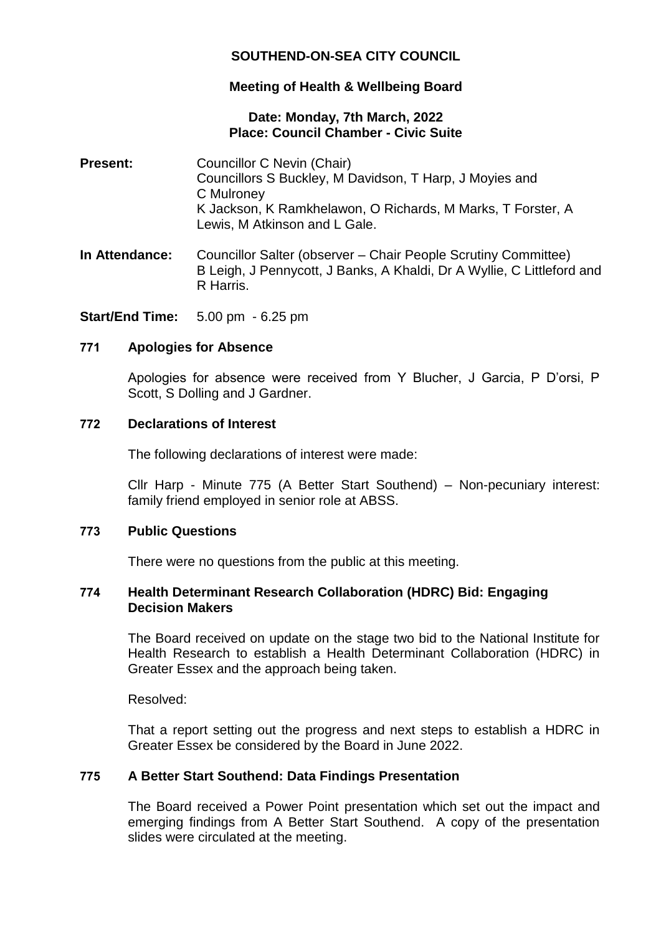# **SOUTHEND-ON-SEA CITY COUNCIL**

# **Meeting of Health & Wellbeing Board**

### **Date: Monday, 7th March, 2022 Place: Council Chamber - Civic Suite**

- **Present:** Councillor C Nevin (Chair) Councillors S Buckley, M Davidson, T Harp, J Moyies and C Mulroney K Jackson, K Ramkhelawon, O Richards, M Marks, T Forster, A Lewis, M Atkinson and L Gale.
- **In Attendance:** Councillor Salter (observer Chair People Scrutiny Committee) B Leigh, J Pennycott, J Banks, A Khaldi, Dr A Wyllie, C Littleford and R Harris.

**Start/End Time:** 5.00 pm - 6.25 pm

### **771 Apologies for Absence**

Apologies for absence were received from Y Blucher, J Garcia, P D'orsi, P Scott, S Dolling and J Gardner.

### **772 Declarations of Interest**

The following declarations of interest were made:

Cllr Harp - Minute 775 (A Better Start Southend) – Non-pecuniary interest: family friend employed in senior role at ABSS.

# **773 Public Questions**

There were no questions from the public at this meeting.

### **774 Health Determinant Research Collaboration (HDRC) Bid: Engaging Decision Makers**

The Board received on update on the stage two bid to the National Institute for Health Research to establish a Health Determinant Collaboration (HDRC) in Greater Essex and the approach being taken.

Resolved:

That a report setting out the progress and next steps to establish a HDRC in Greater Essex be considered by the Board in June 2022.

# **775 A Better Start Southend: Data Findings Presentation**

The Board received a Power Point presentation which set out the impact and emerging findings from A Better Start Southend. A copy of the presentation slides were circulated at the meeting.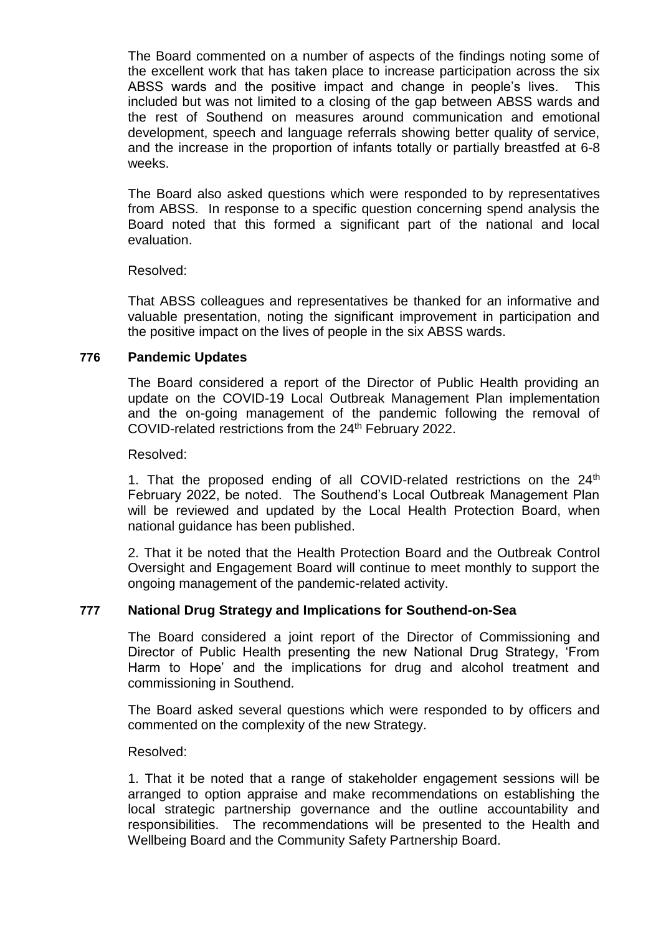The Board commented on a number of aspects of the findings noting some of the excellent work that has taken place to increase participation across the six ABSS wards and the positive impact and change in people's lives. This included but was not limited to a closing of the gap between ABSS wards and the rest of Southend on measures around communication and emotional development, speech and language referrals showing better quality of service, and the increase in the proportion of infants totally or partially breastfed at 6-8 weeks.

The Board also asked questions which were responded to by representatives from ABSS. In response to a specific question concerning spend analysis the Board noted that this formed a significant part of the national and local evaluation.

### Resolved:

That ABSS colleagues and representatives be thanked for an informative and valuable presentation, noting the significant improvement in participation and the positive impact on the lives of people in the six ABSS wards.

# **776 Pandemic Updates**

The Board considered a report of the Director of Public Health providing an update on the COVID-19 Local Outbreak Management Plan implementation and the on-going management of the pandemic following the removal of COVID-related restrictions from the 24<sup>th</sup> February 2022.

#### Resolved:

1. That the proposed ending of all COVID-related restrictions on the  $24<sup>th</sup>$ February 2022, be noted. The Southend's Local Outbreak Management Plan will be reviewed and updated by the Local Health Protection Board, when national guidance has been published.

2. That it be noted that the Health Protection Board and the Outbreak Control Oversight and Engagement Board will continue to meet monthly to support the ongoing management of the pandemic-related activity.

# **777 National Drug Strategy and Implications for Southend-on-Sea**

The Board considered a joint report of the Director of Commissioning and Director of Public Health presenting the new National Drug Strategy, 'From Harm to Hope' and the implications for drug and alcohol treatment and commissioning in Southend.

The Board asked several questions which were responded to by officers and commented on the complexity of the new Strategy.

#### Resolved:

1. That it be noted that a range of stakeholder engagement sessions will be arranged to option appraise and make recommendations on establishing the local strategic partnership governance and the outline accountability and responsibilities. The recommendations will be presented to the Health and Wellbeing Board and the Community Safety Partnership Board.